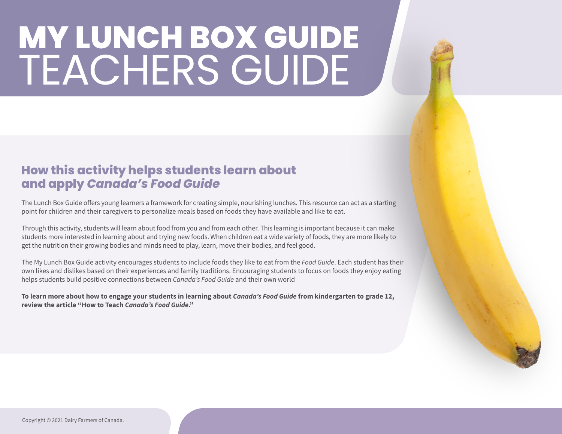#### **How this activity helps students learn about and apply** *Canada's Food Guide*

The Lunch Box Guide offers young learners a framework for creating simple, nourishing lunches. This resource can act as a starting point for children and their caregivers to personalize meals based on foods they have available and like to eat.

Through this activity, students will learn about food from you and from each other. This learning is important because it can make students more interested in learning about and trying new foods. When children eat a wide variety of foods, they are more likely to get the nutrition their growing bodies and minds need to play, learn, move their bodies, and feel good.

The My Lunch Box Guide activity encourages students to include foods they like to eat from the *Food Guide*. Each student has their own likes and dislikes based on their experiences and family traditions. Encouraging students to focus on foods they enjoy eating helps students build positive connections between *Canada's Food Guide* and their own world

**To learn more about how to engage your students in learning about** *Canada's Food Guide* **from kindergarten to grade 12, review the article "How to Teach** *[Canada's Food Guide](https://dairyfarmersofcanada.ca/en/teachnutrition/ab/healthy-kids/food-nutrition/how-teach-canadas-food-guide)***."**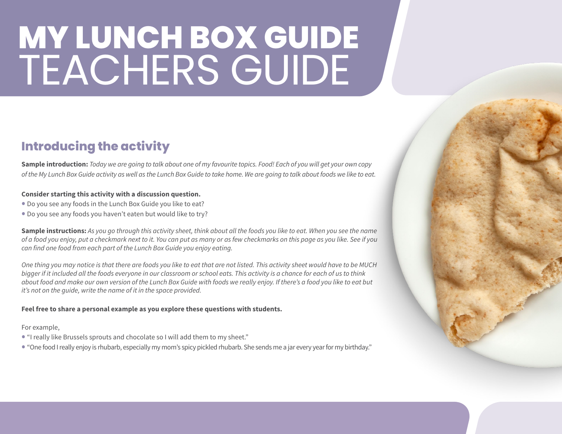#### **Introducing the activity**

**Sample introduction:** *Today we are going to talk about one of my favourite topics. Food! Each of you will get your own copy of the My Lunch Box Guide activity as well as the Lunch Box Guide to take home. We are going to talk about foods we like to eat.*

#### **Consider starting this activity with a discussion question.**

- Do you see any foods in the Lunch Box Guide you like to eat?
- Do you see any foods you haven't eaten but would like to try?

**Sample instructions:** *As you go through this activity sheet, think about all the foods you like to eat. When you see the name of a food you enjoy, put a checkmark next to it. You can put as many or as few checkmarks on this page as you like. See if you can find one food from each part of the Lunch Box Guide you enjoy eating.*

*One thing you may notice is that there are foods you like to eat that are not listed. This activity sheet would have to be MUCH bigger if it included all the foods everyone in our classroom or school eats. This activity is a chance for each of us to think about food and make our own version of the Lunch Box Guide with foods we really enjoy. If there's a food you like to eat but it's not on the guide, write the name of it in the space provided.*

#### **Feel free to share a personal example as you explore these questions with students.**

For example,

- "I really like Brussels sprouts and chocolate so I will add them to my sheet."
- "One food I really enjoy is rhubarb, especially my mom's spicy pickled rhubarb. She sends me a jar every year for my birthday."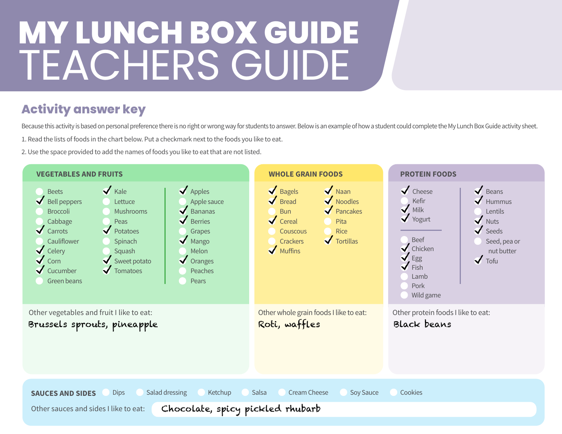### **Activity answer key**

Because this activity is based on personal preference there is no right or wrong way for students to answer. Below is an example of how a student could complete the My Lunch Box Guide activity sheet.

1. Read the lists of foods in the chart below. Put a checkmark next to the foods you like to eat.

2. Use the space provided to add the names of foods you like to eat that are not listed.